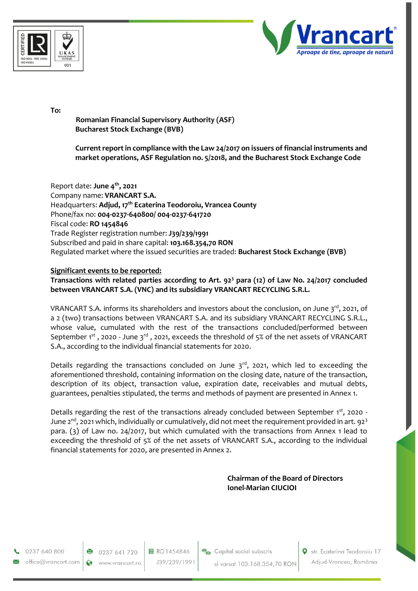



**To:** 

**Romanian Financial Supervisory Authority (ASF) Bucharest Stock Exchange (BVB)**

**Current report in compliance with the Law 24/2017 on issuers of financial instruments and market operations, ASF Regulation no. 5/2018, and the Bucharest Stock Exchange Code**

Report date: **June 4th, 2021** Company name: **VRANCART S.A.** Headquarters: **Adjud, 17th Ecaterina Teodoroiu, Vrancea County** Phone/fax no: **004-0237-640800/ 004-0237-641720** Fiscal code: **RO 1454846** Trade Register registration number: **J39/239/1991** Subscribed and paid in share capital: **103.168.354,70 RON** Regulated market where the issued securities are traded: **Bucharest Stock Exchange (BVB)**

## **Significant events to be reported:**

**Transactions with related parties according to Art. 92<sup>3</sup> para (12) of Law No. 24/2017 concluded between VRANCART S.A. (VNC) and its subsidiary VRANCART RECYCLING S.R.L.**

VRANCART S.A. informs its shareholders and investors about the conclusion, on June 3 $^{\rm rd}$ , 2021, of a 2 (two) transactions between VRANCART S.A. and its subsidiary VRANCART RECYCLING S.R.L., whose value, cumulated with the rest of the transactions concluded/performed between September  $1^{st}$ , 2020 - June  $3^{rd}$ , 2021, exceeds the threshold of 5% of the net assets of VRANCART S.A., according to the individual financial statements for 2020.

Details regarding the transactions concluded on June  $3^{rd}$ , 2021, which led to exceeding the aforementioned threshold, containing information on the closing date, nature of the transaction, description of its object, transaction value, expiration date, receivables and mutual debts, guarantees, penalties stipulated, the terms and methods of payment are presented in Annex 1.

Details regarding the rest of the transactions already concluded between September 1st, 2020 -June 2<sup>nd</sup>, 2021 which, individually or cumulatively, did not meet the requirement provided in art. 92<sup>3</sup> para. (3) of Law no. 24/2017, but which cumulated with the transactions from Annex 1 lead to exceeding the threshold of 5% of the net assets of VRANCART S.A., according to the individual financial statements for 2020, are presented in Annex 2.

> **Chairman of the Board of Directors Ionel-Marian CIUCIOI**

0237 640 800 office@vrancart.com

 $\bullet$  0237 641 720 Ŵ www.vrancart.ro 目 RO1454846 J39/239/1991 Capital social subscris si varsat 103.168.354,70 RON Str. Ecaterina Teodoroiu 17 Adjud-Vrancea, România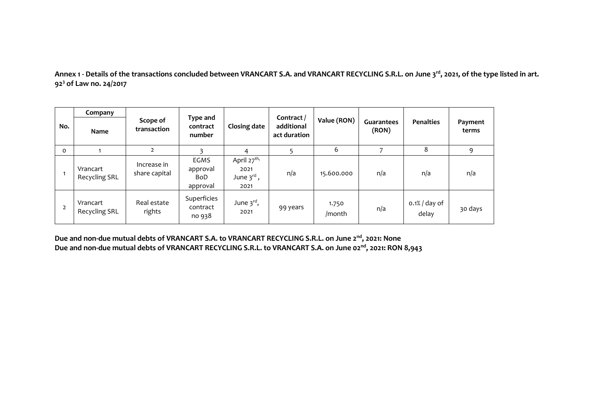**Annex 1 - Details of the transactions concluded between VRANCART S.A. and VRANCART RECYCLING S.R.L. on June 3rd, 2021, of the type listed in art. 92<sup>3</sup> of Law no. 24/2017**

| No.            | Company                          | Scope of<br>transaction      | Type and<br>contract<br>number             | <b>Closing date</b>                                               | Contract /<br>additional<br>act duration | Value (RON)     | Guarantees<br>(RON) | <b>Penalties</b>          | Payment<br>terms |
|----------------|----------------------------------|------------------------------|--------------------------------------------|-------------------------------------------------------------------|------------------------------------------|-----------------|---------------------|---------------------------|------------------|
|                | <b>Name</b>                      |                              |                                            |                                                                   |                                          |                 |                     |                           |                  |
| $\Omega$       |                                  | $\overline{2}$               |                                            | 4                                                                 |                                          | 6               | ⇁                   | 8                         | 9                |
|                | Vrancart<br><b>Recycling SRL</b> | Increase in<br>share capital | <b>EGMS</b><br>approval<br>BoD<br>approval | April 27 <sup>th,</sup><br>2021<br>June $3^{\text{rd}}$ ,<br>2021 | n/a                                      | 15.600.000      | n/a                 | n/a                       | n/a              |
| $\overline{2}$ | Vrancart<br><b>Recycling SRL</b> | Real estate<br>rights        | Superficies<br>contract<br>no 938          | June 3 <sup>rd</sup> ,<br>2021                                    | 99 years                                 | 1.750<br>/month | n/a                 | $0.1\%$ / day of<br>delay | 30 days          |

**Due and non-due mutual debts of VRANCART S.A. to VRANCART RECYCLING S.R.L. on June 2nd, 2021: None Due and non-due mutual debts of VRANCART RECYCLING S.R.L. to VRANCART S.A. on June 02nd, 2021: RON 8,943**